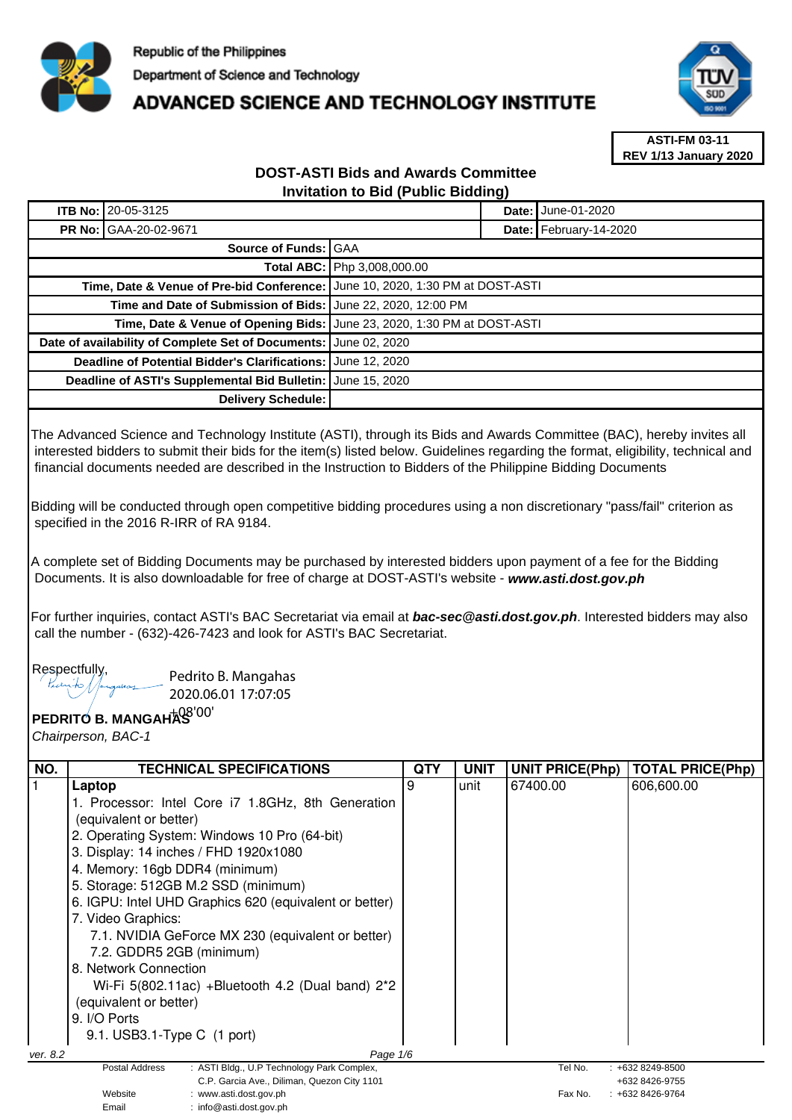

## **ADVANCED SCIENCE AND TECHNOLOGY INSTITUTE**



**ASTI-FM 03-11 REV 1/13 January 2020**

## **DOST-ASTI Bids and Awards Committee Invitation to Bid (Public Bidding)**

| <b>ITB No: 20-05-3125</b>                                                       |  |  | <b>Date: June-01-2020</b> |
|---------------------------------------------------------------------------------|--|--|---------------------------|
| <b>PR No: GAA-20-02-9671</b>                                                    |  |  | Date: February-14-2020    |
| Source of Funds: GAA                                                            |  |  |                           |
| <b>Total ABC:   Php 3,008,000.00</b>                                            |  |  |                           |
| Time, Date & Venue of Pre-bid Conference:   June 10, 2020, 1:30 PM at DOST-ASTI |  |  |                           |
| Time and Date of Submission of Bids: June 22, 2020, 12:00 PM                    |  |  |                           |
| Time, Date & Venue of Opening Bids: June 23, 2020, 1:30 PM at DOST-ASTI         |  |  |                           |
| Date of availability of Complete Set of Documents: June 02, 2020                |  |  |                           |
| Deadline of Potential Bidder's Clarifications: June 12, 2020                    |  |  |                           |
| Deadline of ASTI's Supplemental Bid Bulletin: June 15, 2020                     |  |  |                           |
| Delivery Schedule:                                                              |  |  |                           |

The Advanced Science and Technology Institute (ASTI), through its Bids and Awards Committee (BAC), hereby invites all interested bidders to submit their bids for the item(s) listed below. Guidelines regarding the format, eligibility, technical and financial documents needed are described in the Instruction to Bidders of the Philippine Bidding Documents

Bidding will be conducted through open competitive bidding procedures using a non discretionary "pass/fail" criterion as specified in the 2016 R-IRR of RA 9184.

A complete set of Bidding Documents may be purchased by interested bidders upon payment of a fee for the Bidding Documents. It is also downloadable for free of charge at DOST-ASTI's website - **www.asti.dost.gov.ph**

For further inquiries, contact ASTI's BAC Secretariat via email at **bac-sec@asti.dost.gov.ph**. Interested bidders may also call the number - (632)-426-7423 and look for ASTI's BAC Secretariat.

Respectfully,

Pedrito B. Mangahas 2020.06.01 17:07:05

Email : info@asti.dost.gov.ph

## **PEDRITO B. MANGAHAS**  +08'00'

Chairperson, BAC-1

| NO.      | <b>TECHNICAL SPECIFICATIONS</b>                                                | QTY | <b>UNIT</b> | <b>UNIT PRICE(Php)</b> | TOTAL PRICE(Php)                 |
|----------|--------------------------------------------------------------------------------|-----|-------------|------------------------|----------------------------------|
|          | Laptop                                                                         | 9   | unit        | 67400.00               | 606,600.00                       |
|          | 1. Processor: Intel Core i7 1.8GHz, 8th Generation                             |     |             |                        |                                  |
|          | (equivalent or better)                                                         |     |             |                        |                                  |
|          | 2. Operating System: Windows 10 Pro (64-bit)                                   |     |             |                        |                                  |
|          | 3. Display: 14 inches / FHD 1920x1080                                          |     |             |                        |                                  |
|          | 4. Memory: 16gb DDR4 (minimum)                                                 |     |             |                        |                                  |
|          | 5. Storage: 512GB M.2 SSD (minimum)                                            |     |             |                        |                                  |
|          | 6. IGPU: Intel UHD Graphics 620 (equivalent or better)                         |     |             |                        |                                  |
|          | 7. Video Graphics:                                                             |     |             |                        |                                  |
|          | 7.1. NVIDIA GeForce MX 230 (equivalent or better)                              |     |             |                        |                                  |
|          | 7.2. GDDR5 2GB (minimum)                                                       |     |             |                        |                                  |
|          | 8. Network Connection                                                          |     |             |                        |                                  |
|          | Wi-Fi $5(802.11ac)$ +Bluetooth 4.2 (Dual band) $2^*2$                          |     |             |                        |                                  |
|          | (equivalent or better)                                                         |     |             |                        |                                  |
|          | 9. I/O Ports                                                                   |     |             |                        |                                  |
|          | 9.1. USB3.1-Type C (1 port)                                                    |     |             |                        |                                  |
| ver. 8.2 | Page 1/6                                                                       |     |             |                        |                                  |
|          | : ASTI Bldg., U.P Technology Park Complex,<br><b>Postal Address</b>            |     |             | Tel No.                | $: +6328249 - 8500$              |
|          | C.P. Garcia Ave., Diliman, Quezon City 1101<br>Website<br>www.asti.dost.gov.ph |     |             | Fax No.                | +632 8426-9755<br>+632 8426-9764 |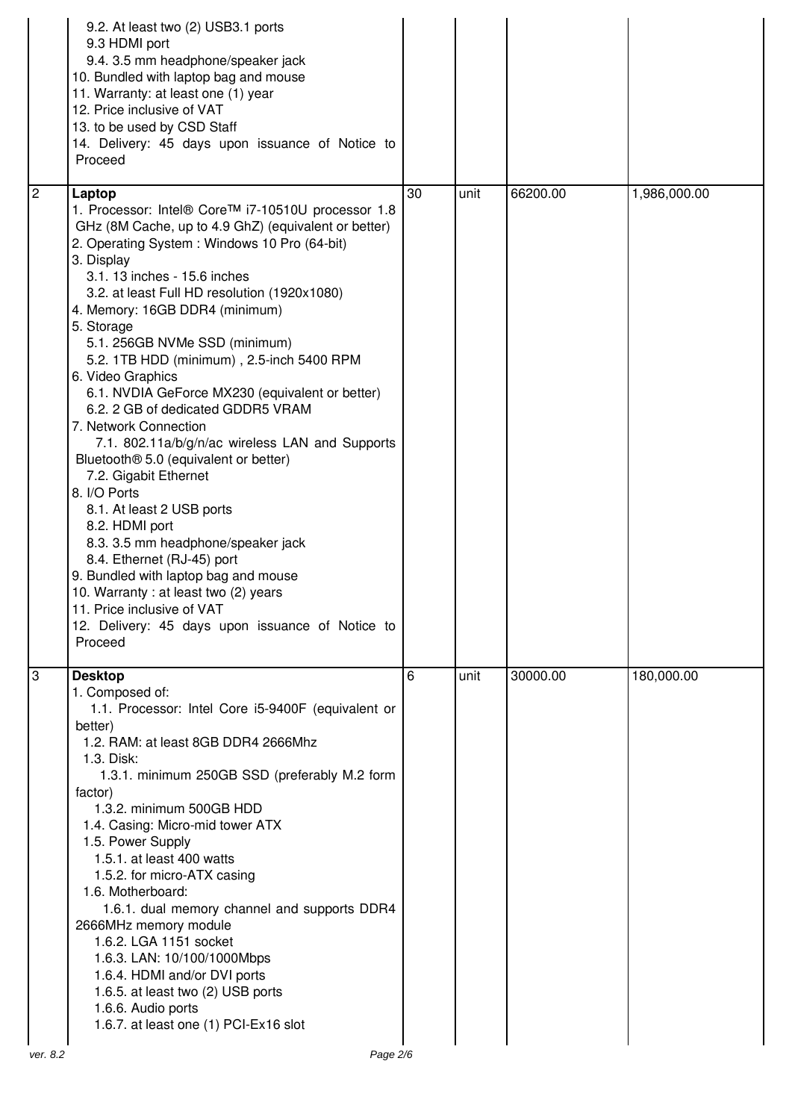|                | 9.2. At least two (2) USB3.1 ports<br>9.3 HDMI port<br>9.4. 3.5 mm headphone/speaker jack<br>10. Bundled with laptop bag and mouse<br>11. Warranty: at least one (1) year<br>12. Price inclusive of VAT<br>13. to be used by CSD Staff<br>14. Delivery: 45 days upon issuance of Notice to<br>Proceed                                                                                                                                                                                                                                                                                                                                                                                                                                                                                                                                                                                                                                                                                   |    |      |          |              |
|----------------|-----------------------------------------------------------------------------------------------------------------------------------------------------------------------------------------------------------------------------------------------------------------------------------------------------------------------------------------------------------------------------------------------------------------------------------------------------------------------------------------------------------------------------------------------------------------------------------------------------------------------------------------------------------------------------------------------------------------------------------------------------------------------------------------------------------------------------------------------------------------------------------------------------------------------------------------------------------------------------------------|----|------|----------|--------------|
| $\overline{2}$ | Laptop<br>1. Processor: Intel® Core™ i7-10510U processor 1.8<br>GHz (8M Cache, up to 4.9 GhZ) (equivalent or better)<br>2. Operating System: Windows 10 Pro (64-bit)<br>3. Display<br>3.1. 13 inches - 15.6 inches<br>3.2. at least Full HD resolution (1920x1080)<br>4. Memory: 16GB DDR4 (minimum)<br>5. Storage<br>5.1. 256GB NVMe SSD (minimum)<br>5.2. 1TB HDD (minimum), 2.5-inch 5400 RPM<br>6. Video Graphics<br>6.1. NVDIA GeForce MX230 (equivalent or better)<br>6.2. 2 GB of dedicated GDDR5 VRAM<br>7. Network Connection<br>7.1. 802.11a/b/g/n/ac wireless LAN and Supports<br>Bluetooth <sup>®</sup> 5.0 (equivalent or better)<br>7.2. Gigabit Ethernet<br>8. I/O Ports<br>8.1. At least 2 USB ports<br>8.2. HDMI port<br>8.3. 3.5 mm headphone/speaker jack<br>8.4. Ethernet (RJ-45) port<br>9. Bundled with laptop bag and mouse<br>10. Warranty: at least two (2) years<br>11. Price inclusive of VAT<br>12. Delivery: 45 days upon issuance of Notice to<br>Proceed | 30 | unit | 66200.00 | 1,986,000.00 |
| 3              | <b>Desktop</b><br>1. Composed of:<br>1.1. Processor: Intel Core i5-9400F (equivalent or<br>better)<br>1.2. RAM: at least 8GB DDR4 2666Mhz<br>1.3. Disk:<br>1.3.1. minimum 250GB SSD (preferably M.2 form<br>factor)<br>1.3.2. minimum 500GB HDD<br>1.4. Casing: Micro-mid tower ATX<br>1.5. Power Supply<br>1.5.1. at least 400 watts<br>1.5.2. for micro-ATX casing<br>1.6. Motherboard:<br>1.6.1. dual memory channel and supports DDR4<br>2666MHz memory module<br>1.6.2. LGA 1151 socket<br>1.6.3. LAN: 10/100/1000Mbps<br>1.6.4. HDMI and/or DVI ports<br>1.6.5. at least two (2) USB ports<br>1.6.6. Audio ports<br>1.6.7. at least one (1) PCI-Ex16 slot                                                                                                                                                                                                                                                                                                                         | 6  | unit | 30000.00 | 180,000.00   |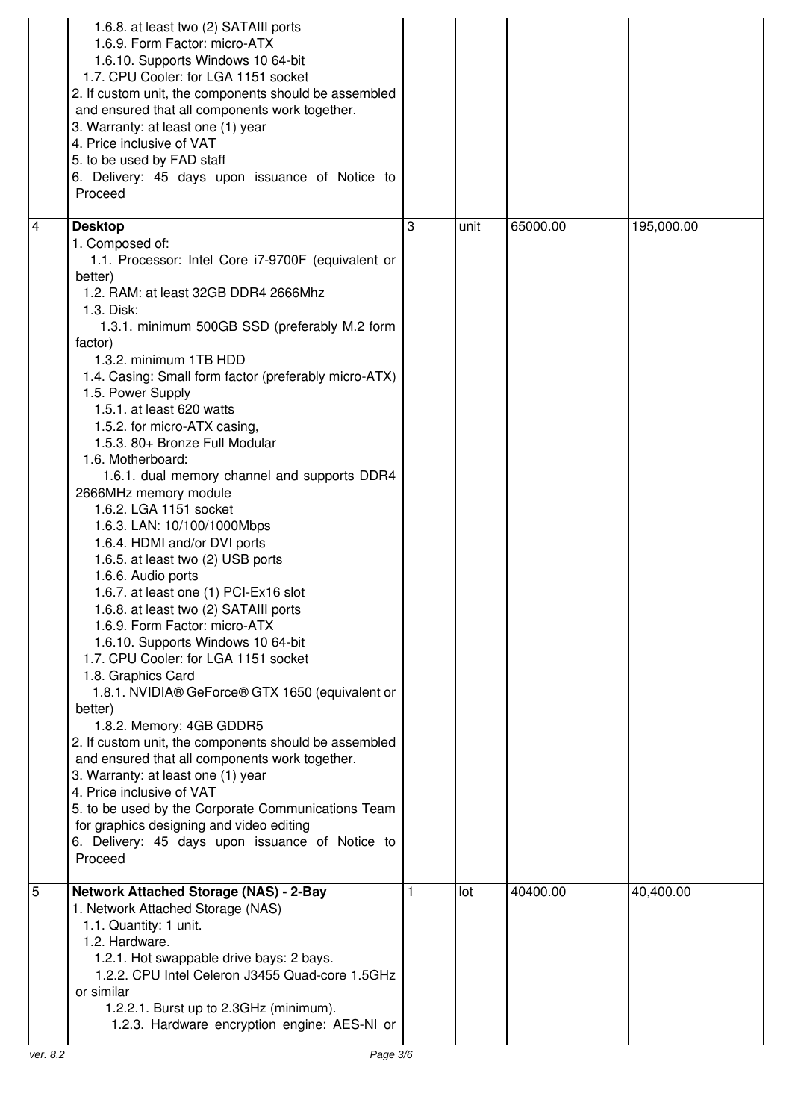|          | 1.6.8. at least two (2) SATAIII ports<br>1.6.9. Form Factor: micro-ATX<br>1.6.10. Supports Windows 10 64-bit<br>1.7. CPU Cooler: for LGA 1151 socket<br>2. If custom unit, the components should be assembled<br>and ensured that all components work together.<br>3. Warranty: at least one (1) year<br>4. Price inclusive of VAT<br>5. to be used by FAD staff<br>6. Delivery: 45 days upon issuance of Notice to<br>Proceed                                                                                                                                                                                                                                                                                                                                                                                                                                                                                                                                                                                                                                                                                                                                                                                                                                                                                             |   |      |          |            |
|----------|----------------------------------------------------------------------------------------------------------------------------------------------------------------------------------------------------------------------------------------------------------------------------------------------------------------------------------------------------------------------------------------------------------------------------------------------------------------------------------------------------------------------------------------------------------------------------------------------------------------------------------------------------------------------------------------------------------------------------------------------------------------------------------------------------------------------------------------------------------------------------------------------------------------------------------------------------------------------------------------------------------------------------------------------------------------------------------------------------------------------------------------------------------------------------------------------------------------------------------------------------------------------------------------------------------------------------|---|------|----------|------------|
| 4        | <b>Desktop</b>                                                                                                                                                                                                                                                                                                                                                                                                                                                                                                                                                                                                                                                                                                                                                                                                                                                                                                                                                                                                                                                                                                                                                                                                                                                                                                             | 3 | unit | 65000.00 | 195,000.00 |
|          | 1. Composed of:<br>1.1. Processor: Intel Core i7-9700F (equivalent or<br>better)<br>1.2. RAM: at least 32GB DDR4 2666Mhz<br>1.3. Disk:<br>1.3.1. minimum 500GB SSD (preferably M.2 form<br>factor)<br>1.3.2. minimum 1TB HDD<br>1.4. Casing: Small form factor (preferably micro-ATX)<br>1.5. Power Supply<br>1.5.1. at least 620 watts<br>1.5.2. for micro-ATX casing,<br>1.5.3. 80+ Bronze Full Modular<br>1.6. Motherboard:<br>1.6.1. dual memory channel and supports DDR4<br>2666MHz memory module<br>1.6.2. LGA 1151 socket<br>1.6.3. LAN: 10/100/1000Mbps<br>1.6.4. HDMI and/or DVI ports<br>1.6.5. at least two (2) USB ports<br>1.6.6. Audio ports<br>1.6.7. at least one (1) PCI-Ex16 slot<br>1.6.8. at least two (2) SATAIII ports<br>1.6.9. Form Factor: micro-ATX<br>1.6.10. Supports Windows 10 64-bit<br>1.7. CPU Cooler: for LGA 1151 socket<br>1.8. Graphics Card<br>1.8.1. NVIDIA® GeForce® GTX 1650 (equivalent or<br>better)<br>1.8.2. Memory: 4GB GDDR5<br>2. If custom unit, the components should be assembled<br>and ensured that all components work together.<br>3. Warranty: at least one (1) year<br>4. Price inclusive of VAT<br>5. to be used by the Corporate Communications Team<br>for graphics designing and video editing<br>6. Delivery: 45 days upon issuance of Notice to<br>Proceed |   |      |          |            |
| 5        | <b>Network Attached Storage (NAS) - 2-Bay</b>                                                                                                                                                                                                                                                                                                                                                                                                                                                                                                                                                                                                                                                                                                                                                                                                                                                                                                                                                                                                                                                                                                                                                                                                                                                                              | 1 | lot  | 40400.00 | 40,400.00  |
| ver. 8.2 | 1. Network Attached Storage (NAS)<br>1.1. Quantity: 1 unit.<br>1.2. Hardware.<br>1.2.1. Hot swappable drive bays: 2 bays.<br>1.2.2. CPU Intel Celeron J3455 Quad-core 1.5GHz<br>or similar<br>1.2.2.1. Burst up to 2.3GHz (minimum).<br>1.2.3. Hardware encryption engine: AES-NI or<br>Page 3/6                                                                                                                                                                                                                                                                                                                                                                                                                                                                                                                                                                                                                                                                                                                                                                                                                                                                                                                                                                                                                           |   |      |          |            |
|          |                                                                                                                                                                                                                                                                                                                                                                                                                                                                                                                                                                                                                                                                                                                                                                                                                                                                                                                                                                                                                                                                                                                                                                                                                                                                                                                            |   |      |          |            |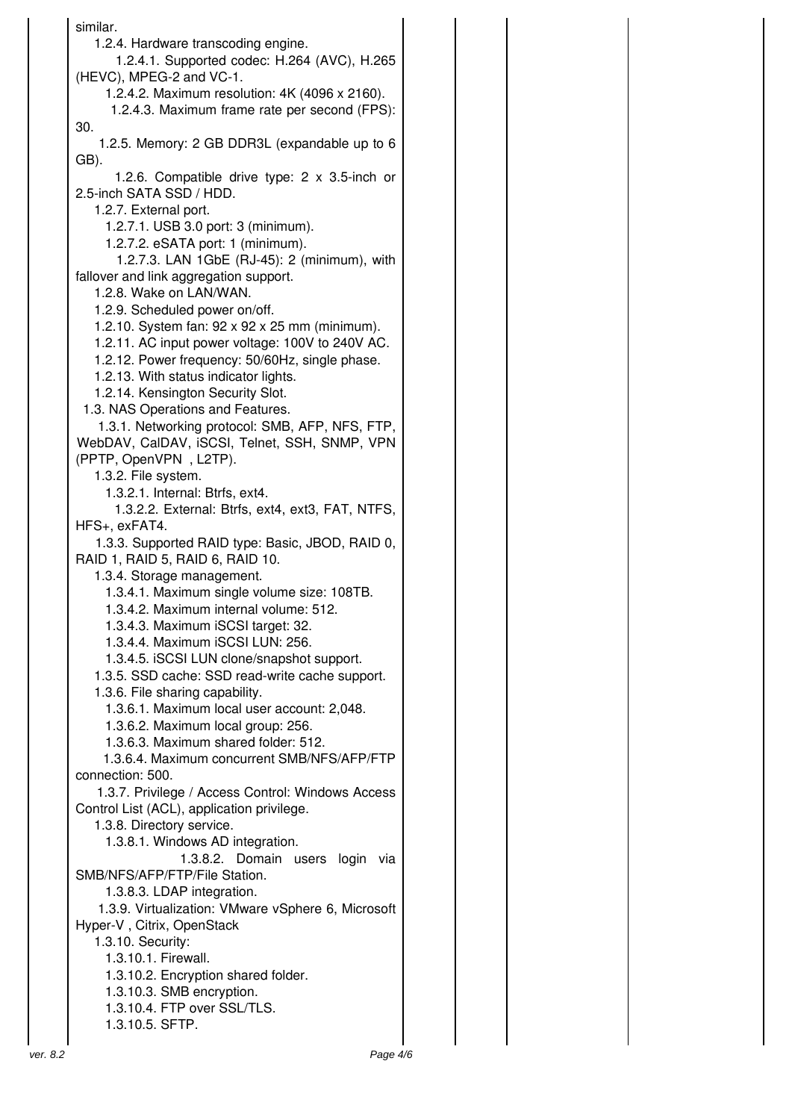similar. 1.2.4. Hardware transcoding engine. 1.2.4.1. Supported codec: H.264 (AVC), H.265 (HEVC), MPEG-2 and VC-1. 1.2.4.2. Maximum resolution: 4K (4096 x 2160). 1.2.4.3. Maximum frame rate per second (FPS): 30. 1.2.5. Memory: 2 GB DDR3L (expandable up to 6 GB). 1.2.6. Compatible drive type: 2 x 3.5-inch or 2.5-inch SATA SSD / HDD. 1.2.7. External port. 1.2.7.1. USB 3.0 port: 3 (minimum). 1.2.7.2. eSATA port: 1 (minimum). 1.2.7.3. LAN 1GbE (RJ-45): 2 (minimum), with fallover and link aggregation support. 1.2.8. Wake on LAN/WAN. 1.2.9. Scheduled power on/off. 1.2.10. System fan: 92 x 92 x 25 mm (minimum). 1.2.11. AC input power voltage: 100V to 240V AC. 1.2.12. Power frequency: 50/60Hz, single phase. 1.2.13. With status indicator lights. 1.2.14. Kensington Security Slot. 1.3. NAS Operations and Features. 1.3.1. Networking protocol: SMB, AFP, NFS, FTP, WebDAV, CalDAV, iSCSI, Telnet, SSH, SNMP, VPN (PPTP, OpenVPN , L2TP). 1.3.2. File system. 1.3.2.1. Internal: Btrfs, ext4. 1.3.2.2. External: Btrfs, ext4, ext3, FAT, NTFS, HFS+, exFAT4. 1.3.3. Supported RAID type: Basic, JBOD, RAID 0, RAID 1, RAID 5, RAID 6, RAID 10. 1.3.4. Storage management. 1.3.4.1. Maximum single volume size: 108TB. 1.3.4.2. Maximum internal volume: 512. 1.3.4.3. Maximum iSCSI target: 32. 1.3.4.4. Maximum iSCSI LUN: 256. 1.3.4.5. iSCSI LUN clone/snapshot support. 1.3.5. SSD cache: SSD read-write cache support. 1.3.6. File sharing capability. 1.3.6.1. Maximum local user account: 2,048. 1.3.6.2. Maximum local group: 256. 1.3.6.3. Maximum shared folder: 512. 1.3.6.4. Maximum concurrent SMB/NFS/AFP/FTP connection: 500. 1.3.7. Privilege / Access Control: Windows Access Control List (ACL), application privilege. 1.3.8. Directory service. 1.3.8.1. Windows AD integration. 1.3.8.2. Domain users login via SMB/NFS/AFP/FTP/File Station. 1.3.8.3. LDAP integration. 1.3.9. Virtualization: VMware vSphere 6, Microsoft Hyper-V , Citrix, OpenStack 1.3.10. Security: 1.3.10.1. Firewall. 1.3.10.2. Encryption shared folder. 1.3.10.3. SMB encryption. 1.3.10.4. FTP over SSL/TLS. 1.3.10.5. SFTP.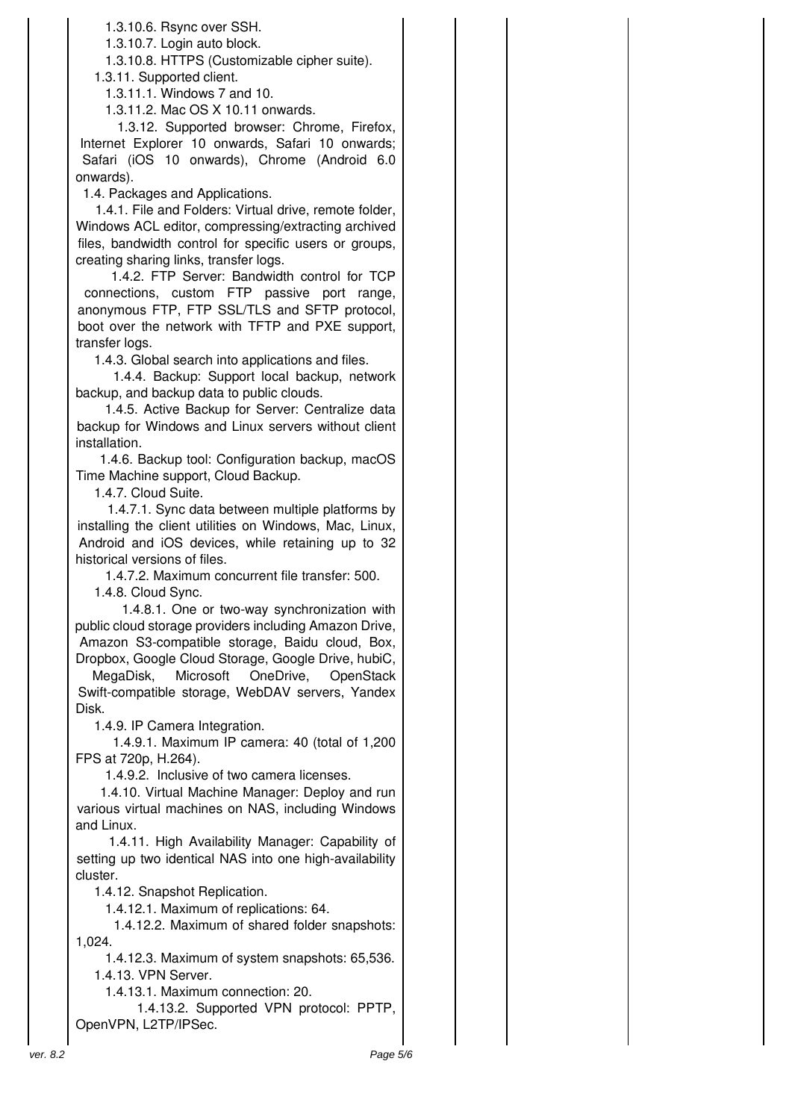1.3.10.6. Rsync over SSH.

1.3.10.7. Login auto block.

1.3.10.8. HTTPS (Customizable cipher suite).

1.3.11. Supported client.

1.3.11.1. Windows 7 and 10.

1.3.11.2. Mac OS X 10.11 onwards.

1.3.12. Supported browser: Chrome, Firefox, Internet Explorer 10 onwards, Safari 10 onwards; Safari (iOS 10 onwards), Chrome (Android 6.0 onwards).

1.4. Packages and Applications.

1.4.1. File and Folders: Virtual drive, remote folder, Windows ACL editor, compressing/extracting archived files, bandwidth control for specific users or groups, creating sharing links, transfer logs.

1.4.2. FTP Server: Bandwidth control for TCP connections, custom FTP passive port range, anonymous FTP, FTP SSL/TLS and SFTP protocol, boot over the network with TFTP and PXE support, transfer logs.

1.4.3. Global search into applications and files.

1.4.4. Backup: Support local backup, network backup, and backup data to public clouds.

1.4.5. Active Backup for Server: Centralize data backup for Windows and Linux servers without client installation.

1.4.6. Backup tool: Configuration backup, macOS Time Machine support, Cloud Backup.

1.4.7. Cloud Suite.

1.4.7.1. Sync data between multiple platforms by installing the client utilities on Windows, Mac, Linux, Android and iOS devices, while retaining up to 32 historical versions of files.

1.4.7.2. Maximum concurrent file transfer: 500.

1.4.8. Cloud Sync.

1.4.8.1. One or two-way synchronization with public cloud storage providers including Amazon Drive, Amazon S3-compatible storage, Baidu cloud, Box, Dropbox, Google Cloud Storage, Google Drive, hubiC,

MegaDisk, Microsoft OneDrive, OpenStack Swift-compatible storage, WebDAV servers, Yandex Disk.

1.4.9. IP Camera Integration.

1.4.9.1. Maximum IP camera: 40 (total of 1,200 FPS at 720p, H.264).

1.4.9.2. Inclusive of two camera licenses.

1.4.10. Virtual Machine Manager: Deploy and run various virtual machines on NAS, including Windows and Linux.

1.4.11. High Availability Manager: Capability of setting up two identical NAS into one high-availability cluster.

1.4.12. Snapshot Replication.

1.4.12.1. Maximum of replications: 64.

1.4.12.2. Maximum of shared folder snapshots: 1,024.

 1.4.12.3. Maximum of system snapshots: 65,536. 1.4.13. VPN Server.

1.4.13.1. Maximum connection: 20.

1.4.13.2. Supported VPN protocol: PPTP, OpenVPN, L2TP/IPSec.